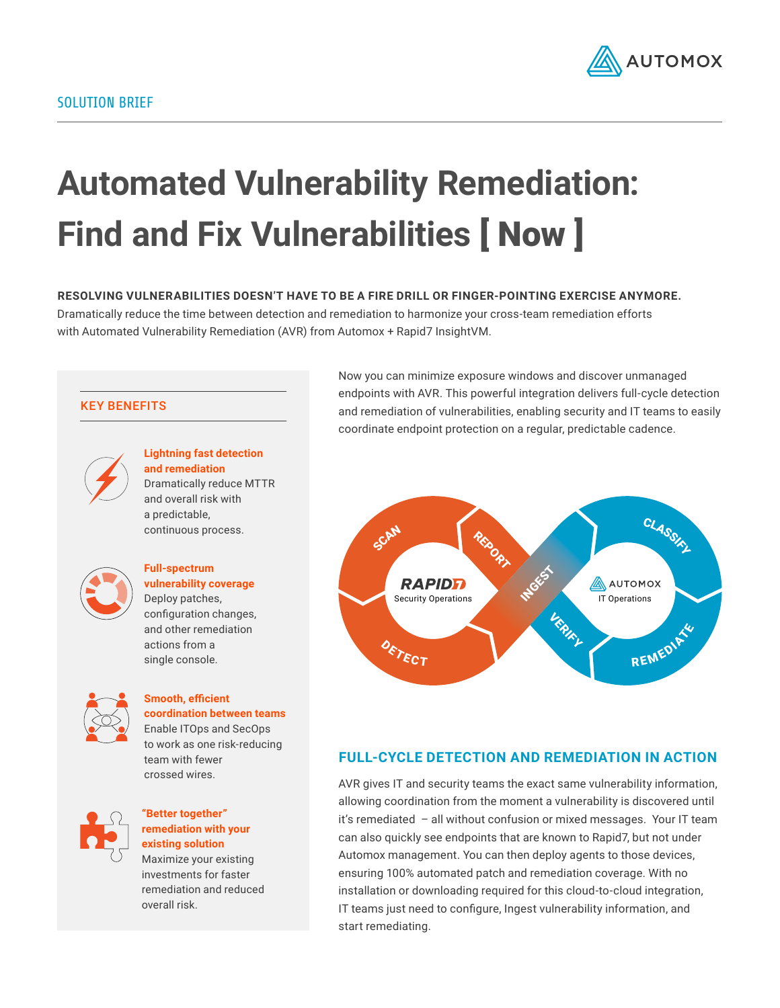

# **Automated Vulnerability Remediation: Find and Fix Vulnerabilities** [ Now ]

**RESOLVING VULNERABILITIES DOESN'T HAVE TO BE A FIRE DRILL OR FINGER-POINTING EXERCISE ANYMORE.** Dramatically reduce the time between detection and remediation to harmonize your cross-team remediation efforts with Automated Vulnerability Remediation (AVR) from Automox + Rapid7 InsightVM.

#### KEY BENEFITS



**Lightning fast detection and remediation** Dramatically reduce MTTR and overall risk with a predictable, continuous process.



**Full-spectrum vulnerability coverage** Deploy patches, configuration changes, and other remediation actions from a single console.



### **Smooth, efficient coordination between teams**  Enable ITOps and SecOps

to work as one risk-reducing team with fewer crossed wires.



#### **"Better together" remediation with your existing solution**

Maximize your existing investments for faster remediation and reduced overall risk.

Now you can minimize exposure windows and discover unmanaged endpoints with AVR. This powerful integration delivers full-cycle detection and remediation of vulnerabilities, enabling security and IT teams to easily coordinate endpoint protection on a regular, predictable cadence.



#### **FULL-CYCLE DETECTION AND REMEDIATION IN ACTION**

AVR gives IT and security teams the exact same vulnerability information, allowing coordination from the moment a vulnerability is discovered until it's remediated – all without confusion or mixed messages. Your IT team can also quickly see endpoints that are known to Rapid7, but not under Automox management. You can then deploy agents to those devices, ensuring 100% automated patch and remediation coverage. With no installation or downloading required for this cloud-to-cloud integration, IT teams just need to configure, Ingest vulnerability information, and start remediating.